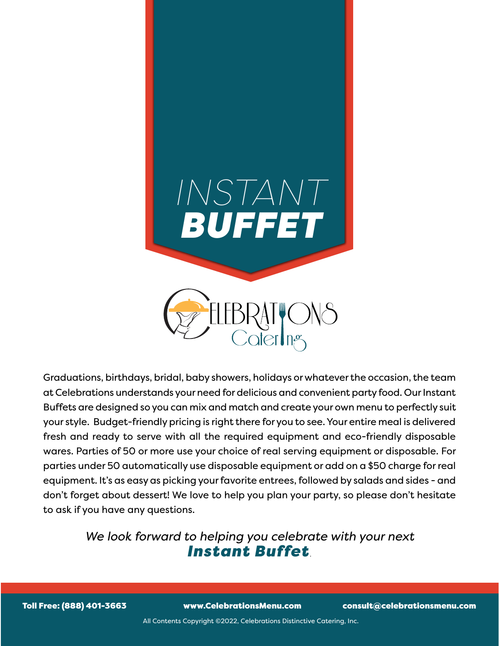

Graduations, birthdays, bridal, baby showers, holidays or whatever the occasion, the team at Celebrations understands your need for delicious and convenient party food. Our Instant Buffets are designed so you can mix and match and create your own menu to perfectly suit your style. Budget-friendly pricing is right there for you to see. Your entire meal is delivered fresh and ready to serve with all the required equipment and eco-friendly disposable wares. Parties of 50 or more use your choice of real serving equipment or disposable. For parties under 50 automatically use disposable equipment or add on a \$50 charge for real equipment. It's as easy as picking your favorite entrees, followed by salads and sides - and don't forget about dessert! We love to help you plan your party, so please don't hesitate to ask if you have any questions.

### *We look forward to helping you celebrate with your next Instant Buffet.*

Toll Free: (888) 401-3663 www.CelebrationsMenu.com consult@celebrationsmenu.com

All Contents Copyright ©2022, Celebrations Distinctive Catering, Inc.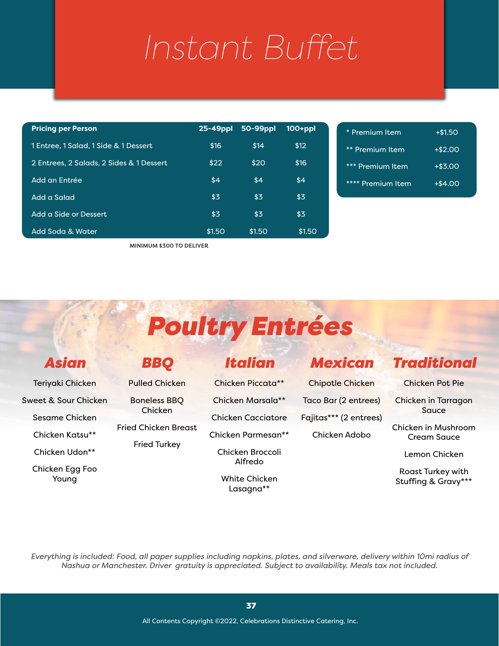| <b>Pricing per Person</b>                | $25 - 49$ ppl | 50-99ppl | $100+ppl$ |
|------------------------------------------|---------------|----------|-----------|
| 1 Entree, 1 Salad, 1 Side & 1 Dessert    | \$16          | \$14     | \$12      |
| 2 Entrees, 2 Salads, 2 Sides & 1 Dessert | \$22          | \$20     | \$16      |
| Add an Entrée                            | \$4           | \$4      | \$4       |
| Add a Salad                              | \$3           | \$3      | \$3       |
| Add a Side or Dessert                    | \$3           | \$3      | \$3       |
| Add Soda & Water                         | \$1.50        | \$1.50   | \$1.50    |

**MINIMUM \$300 TO DELIVER**

# *Poultry Entrées*

## *Asian*

Teriyaki Chicken

Sweet & Sour Chicken

Sesame Chicken

Chicken Katsu\*\*

Chicken Udon\*\*

# *BBQ*

Pulled Chicken

Boneless BBQ

Fried Chicken Breast

Fried Turkey

Chicken Egg Foo Young

Chicken

*Italian*

Chicken Piccata\*\*

Chicken Marsala\*\*

Chicken Cacciatore

Chicken Parmesan\*\*

Chicken Broccoli Alfredo

White Chicken Lasagna\*\*

## *Mexican*

Chipotle Chicken Taco Bar (2 entrees) Fajitas\*\*\* (2 entrees) Chicken Adobo

# *Traditional*

Chicken Pot Pie

Chicken in Tarragon Sauce

Chicken in Mushroom Cream Sauce

Lemon Chicken

Roast Turkey with Stuffing & Gravy\*\*\*

*Everything is included: Food, all paper supplies including napkins, plates, and silverware, delivery within 10mi radius of Nashua or Manchester. Driver gratuity is appreciated. Subject to availability. Meals tax not included.*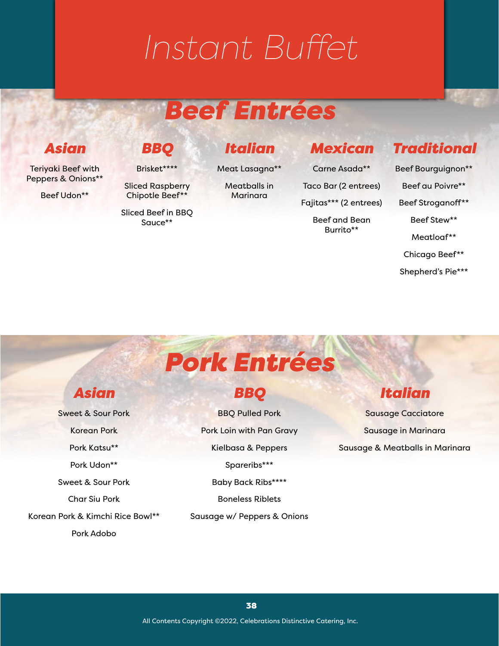# *Beef Entrées*

## *Asian*

Teriyaki Beef with Peppers & Onions\*\*

Beef Udon\*\*

# *BBQ*

Brisket\*\*\*\*

Sliced Raspberry Chipotle Beef\*\*

Sliced Beef in BBQ Sauce\*\*

*Italian*

Meat Lasagna\*\*

Meatballs in Marinara

Taco Bar (2 entrees)

Fajitas\*\*\* (2 entrees)

*Mexican*

Carne Asada\*\*

Beef and Bean Burrito\*\*

## *Traditional*

Beef Bourguignon\*\* Beef au Poivre\*\* Beef Stroganoff\*\*

Beef Stew\*\*

Meatloaf\*\*

Chicago Beef\*\*

Shepherd's Pie\*\*\*

# *Pork Entrées*

### *Asian*

Sweet & Sour Pork Korean Pork Pork Katsu\*\* Pork Udon\*\* Sweet & Sour Pork Char Siu Pork Korean Pork & Kimchi Rice Bowl\*\* Pork Adobo

*BBQ*

BBQ Pulled Pork Pork Loin with Pan Gravy Kielbasa & Peppers Spareribs\*\*\* Baby Back Ribs\*\*\*\* Boneless Riblets

Sausage w/ Peppers & Onions

# *Italian*

Sausage Cacciatore Sausage in Marinara Sausage & Meatballs in Marinara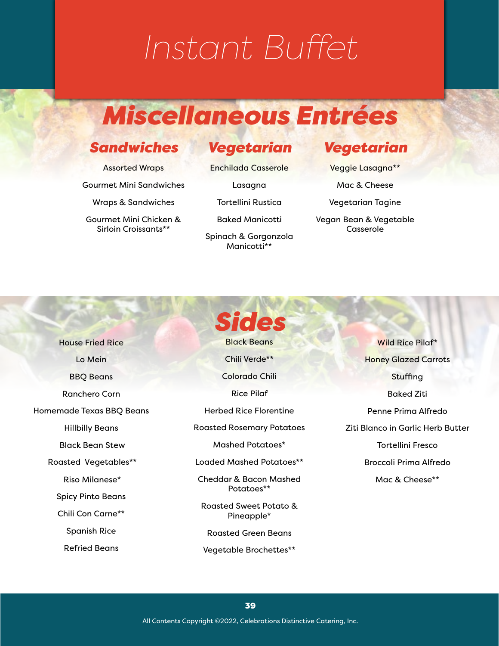# *Miscellaneous Entrées*

### *Sandwiches*

Assorted Wraps

Gourmet Mini Sandwiches

Wraps & Sandwiches

Gourmet Mini Chicken & Sirloin Croissants\*\*

### *Vegetarian*

Enchilada Casserole

Lasagna

Tortellini Rustica

Baked Manicotti

Spinach & Gorgonzola Manicotti\*\*

## *Vegetarian*

Veggie Lasagna\*\*

Mac & Cheese

Vegetarian Tagine

Vegan Bean & Vegetable Casserole

House Fried Rice Lo Mein BBQ Beans Ranchero Corn Homemade Texas BBQ Beans Hillbilly Beans Black Bean Stew Roasted Vegetables\*\* Riso Milanese\* Spicy Pinto Beans Chili Con Carne\*\* Spanish Rice Refried Beans

*Sides* Black Beans Chili Verde\*\* Colorado Chili Rice Pilaf Herbed Rice Florentine Roasted Rosemary Potatoes Mashed Potatoes\* Loaded Mashed Potatoes\*\* Cheddar & Bacon Mashed Potatoes\*\* Roasted Sweet Potato & Pineapple\* Roasted Green Beans

Vegetable Brochettes\*\*

Wild Rice Pilaf\* Honey Glazed Carrots **Stuffing** Baked Ziti Penne Prima Alfredo Ziti Blanco in Garlic Herb Butter Tortellini Fresco Broccoli Prima Alfredo Mac & Cheese\*\*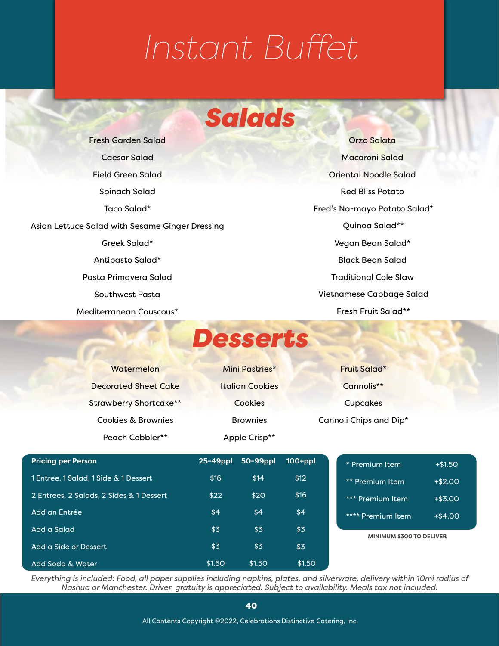# *Salads*

Fresh Garden Salad Caesar Salad Field Green Salad Spinach Salad Taco Salad\* Asian Lettuce Salad with Sesame Ginger Dressing Greek Salad\* Antipasto Salad\* Pasta Primavera Salad Southwest Pasta Mediterranean Couscous\*

Orzo Salata Macaroni Salad Oriental Noodle Salad Red Bliss Potato Fred's No-mayo Potato Salad\* Quinoa Salad\*\* Vegan Bean Salad\* Black Bean Salad Traditional Cole Slaw Vietnamese Cabbage Salad Fresh Fruit Salad\*\*

*Desserts*

| wutenerun                     |
|-------------------------------|
| <b>Decorated Sheet Cake</b>   |
| <b>Strawberry Shortcake**</b> |
| Cookies & Brownies            |
| Peach Cobbler**               |

 $\mathbf{w}$  is a set of  $\mathbf{w}$ 

Mini Pastries\* Italian Cookies Cookies **Brownies** Apple Crisp\*\*

Fruit Salad\* Cannolis\*\* **Cupcakes** Cannoli Chips and Dip\*

| <b>Pricing per Person</b>                | 25-49ppl | 50-99ppl | $100+ppl$ |
|------------------------------------------|----------|----------|-----------|
| 1 Entree, 1 Salad, 1 Side & 1 Dessert    | \$16     | \$14     | \$12      |
| 2 Entrees, 2 Salads, 2 Sides & 1 Dessert | \$22     | \$20     | \$16      |
| Add an Entrée                            | \$4      | \$4      | \$4       |
| Add a Salad                              | \$3      | \$3      | \$3       |
| Add a Side or Dessert                    | \$3      | \$3      | \$3       |
| Add Soda & Water                         | \$1.50   | \$1.50   | \$1.50    |

| * Premium Item         | $+ $1.50$  |  |
|------------------------|------------|--|
| ** Premium Item        | $+$2.00$   |  |
| *** Premium Item       | $+$ \$3.00 |  |
| **** Premium Item      | $+ $4.00$  |  |
| NIMUM \$300 TO DELIVER |            |  |

*Everything is included: Food, all paper supplies including napkins, plates, and silverware, delivery within 10mi radius of Nashua or Manchester. Driver gratuity is appreciated. Subject to availability. Meals tax not included.*